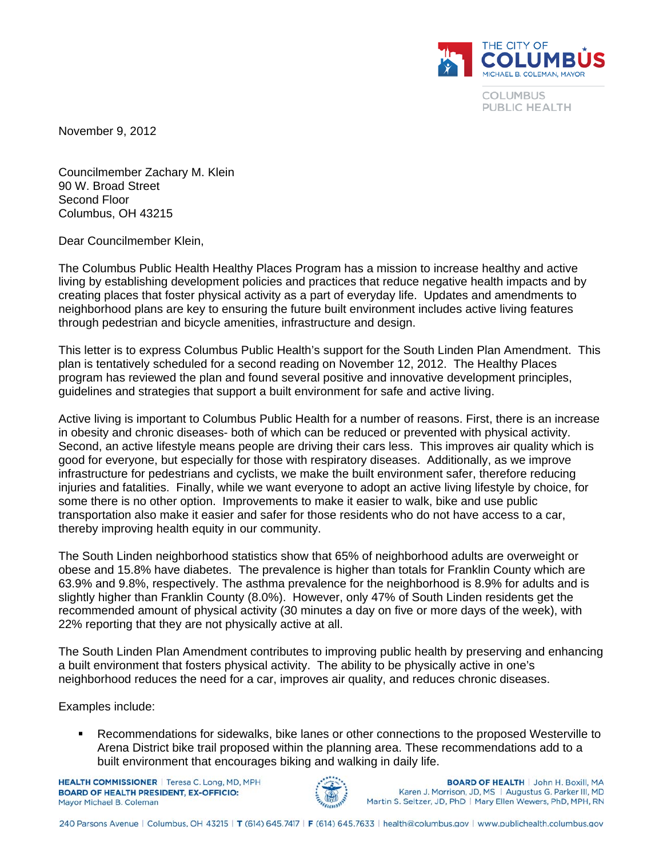

**COLUMBUS** PUBLIC HEALTH

November 9, 2012

Councilmember Zachary M. Klein 90 W. Broad Street Second Floor Columbus, OH 43215

Dear Councilmember Klein,

The Columbus Public Health Healthy Places Program has a mission to increase healthy and active living by establishing development policies and practices that reduce negative health impacts and by creating places that foster physical activity as a part of everyday life. Updates and amendments to neighborhood plans are key to ensuring the future built environment includes active living features through pedestrian and bicycle amenities, infrastructure and design.

This letter is to express Columbus Public Health's support for the South Linden Plan Amendment. This plan is tentatively scheduled for a second reading on November 12, 2012. The Healthy Places program has reviewed the plan and found several positive and innovative development principles, guidelines and strategies that support a built environment for safe and active living.

Active living is important to Columbus Public Health for a number of reasons. First, there is an increase in obesity and chronic diseases- both of which can be reduced or prevented with physical activity. Second, an active lifestyle means people are driving their cars less. This improves air quality which is good for everyone, but especially for those with respiratory diseases. Additionally, as we improve infrastructure for pedestrians and cyclists, we make the built environment safer, therefore reducing injuries and fatalities. Finally, while we want everyone to adopt an active living lifestyle by choice, for some there is no other option. Improvements to make it easier to walk, bike and use public transportation also make it easier and safer for those residents who do not have access to a car, thereby improving health equity in our community.

The South Linden neighborhood statistics show that 65% of neighborhood adults are overweight or obese and 15.8% have diabetes. The prevalence is higher than totals for Franklin County which are 63.9% and 9.8%, respectively. The asthma prevalence for the neighborhood is 8.9% for adults and is slightly higher than Franklin County (8.0%). However, only 47% of South Linden residents get the recommended amount of physical activity (30 minutes a day on five or more days of the week), with 22% reporting that they are not physically active at all.

The South Linden Plan Amendment contributes to improving public health by preserving and enhancing a built environment that fosters physical activity. The ability to be physically active in one's neighborhood reduces the need for a car, improves air quality, and reduces chronic diseases.

Examples include:

 Recommendations for sidewalks, bike lanes or other connections to the proposed Westerville to Arena District bike trail proposed within the planning area. These recommendations add to a built environment that encourages biking and walking in daily life.

**HEALTH COMMISSIONER** | Teresa C. Long, MD, MPH **BOARD OF HEALTH PRESIDENT, EX-OFFICIO:** Mayor Michael B, Coleman



**BOARD OF HEALTH | John H. Boxill, MA** Karen J. Morrison, JD, MS | Augustus G. Parker III, MD Martin S. Seltzer, JD, PhD | Mary Ellen Wewers, PhD, MPH, RN